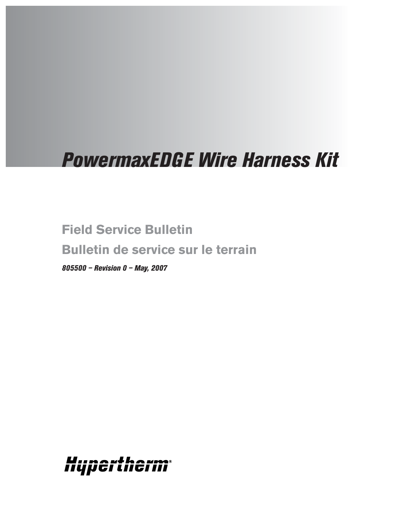# *PowermaxEDGE Wire Harness Kit*

**Field Service Bulletin Bulletin de service sur le terrain**

*805500 – Revision 0 – May, 2007*

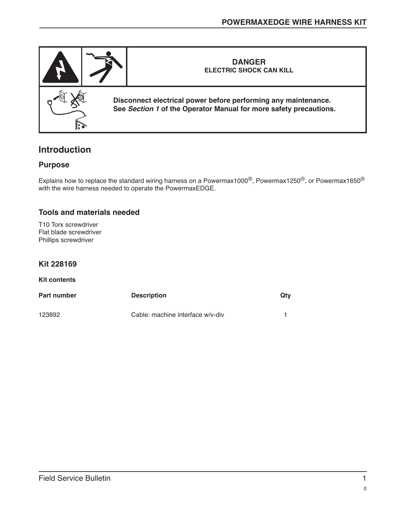

## **Introduction**

#### **Purpose**

Explains how to replace the standard wiring harness on a Powermax1000®, Powermax1250®, or Powermax1650® with the wire harness needed to operate the PowermaxEDGE.

### **Tools and materials needed**

T10 Torx screwdriver Flat blade screwdriver Phillips screwdriver

#### **Kit 228169**

#### **Kit contents**

| Part number | <b>Description</b>               | Qtv |
|-------------|----------------------------------|-----|
| 123892      | Cable: machine interface w/v-div |     |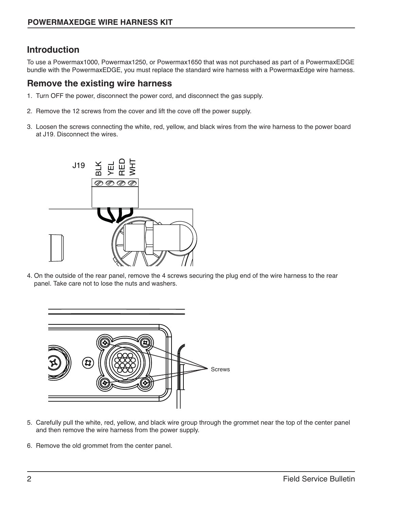## **Introduction**

To use a Powermax1000, Powermax1250, or Powermax1650 that was not purchased as part of a PowermaxEDGE bundle with the PowermaxEDGE, you must replace the standard wire harness with a PowermaxEdge wire harness.

### **Remove the existing wire harness**

- 1. Turn OFF the power, disconnect the power cord, and disconnect the gas supply.
- 2. Remove the 12 screws from the cover and lift the cove off the power supply.
- 3. Loosen the screws connecting the white, red, yellow, and black wires from the wire harness to the power board at J19. Disconnect the wires.



4. On the outside of the rear panel, remove the 4 screws securing the plug end of the wire harness to the rear panel. Take care not to lose the nuts and washers.



- 5. Carefully pull the white, red, yellow, and black wire group through the grommet near the top of the center panel and then remove the wire harness from the power supply.
- 6. Remove the old grommet from the center panel.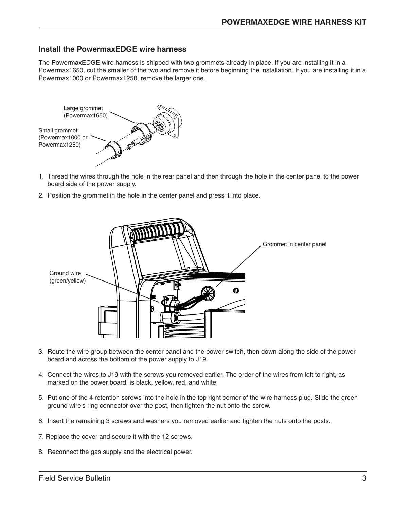#### **Install the PowermaxEDGE wire harness**

The PowermaxEDGE wire harness is shipped with two grommets already in place. If you are installing it in a Powermax1650, cut the smaller of the two and remove it before beginning the installation. If you are installing it in a Powermax1000 or Powermax1250, remove the larger one.



- 1. Thread the wires through the hole in the rear panel and then through the hole in the center panel to the power board side of the power supply.
- 2. Position the grommet in the hole in the center panel and press it into place.



- 3. Route the wire group between the center panel and the power switch, then down along the side of the power board and across the bottom of the power supply to J19.
- 4. Connect the wires to J19 with the screws you removed earlier. The order of the wires from left to right, as marked on the power board, is black, yellow, red, and white.
- 5. Put one of the 4 retention screws into the hole in the top right corner of the wire harness plug. Slide the green ground wire's ring connector over the post, then tighten the nut onto the screw.
- 6. Insert the remaining 3 screws and washers you removed earlier and tighten the nuts onto the posts.
- 7. Replace the cover and secure it with the 12 screws.
- 8. Reconnect the gas supply and the electrical power.